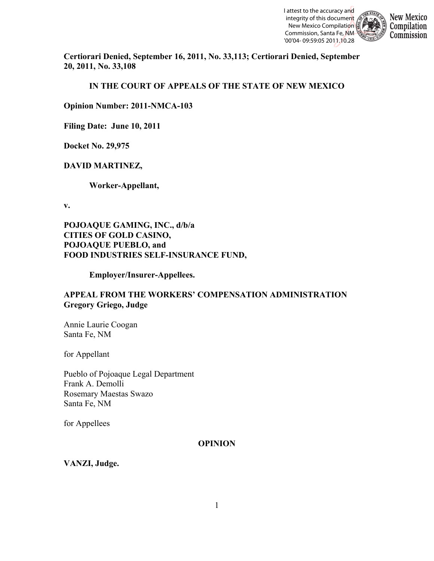

**New Mexico** Compilation Commission

**Certiorari Denied, September 16, 2011, No. 33,113; Certiorari Denied, September 20, 2011, No. 33,108**

**IN THE COURT OF APPEALS OF THE STATE OF NEW MEXICO**

**Opinion Number: 2011-NMCA-103**

**Filing Date: June 10, 2011**

**Docket No. 29,975**

## **DAVID MARTINEZ,**

**Worker-Appellant,**

**v.**

**POJOAQUE GAMING, INC., d/b/a CITIES OF GOLD CASINO, POJOAQUE PUEBLO, and FOOD INDUSTRIES SELF-INSURANCE FUND,**

**Employer/Insurer-Appellees.**

## **APPEAL FROM THE WORKERS' COMPENSATION ADMINISTRATION Gregory Griego, Judge**

Annie Laurie Coogan Santa Fe, NM

for Appellant

Pueblo of Pojoaque Legal Department Frank A. Demolli Rosemary Maestas Swazo Santa Fe, NM

for Appellees

#### **OPINION**

**VANZI, Judge.**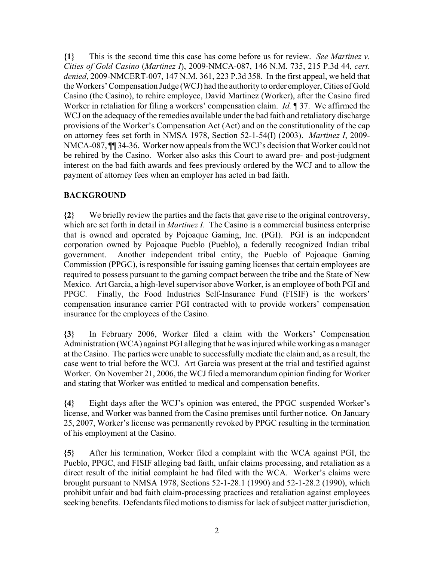**{1}** This is the second time this case has come before us for review. *See Martinez v. Cities of Gold Casino* (*Martinez I*), 2009-NMCA-087, 146 N.M. 735, 215 P.3d 44, *cert. denied*, 2009-NMCERT-007, 147 N.M. 361, 223 P.3d 358. In the first appeal, we held that the Workers' Compensation Judge (WCJ) had the authority to order employer, Cities of Gold Casino (the Casino), to rehire employee, David Martinez (Worker), after the Casino fired Worker in retaliation for filing a workers' compensation claim. *Id.* ¶ 37. We affirmed the WCJ on the adequacy of the remedies available under the bad faith and retaliatory discharge provisions of the Worker's Compensation Act (Act) and on the constitutionality of the cap on attorney fees set forth in NMSA 1978, Section 52-1-54(I) (2003). *Martinez I*, 2009- NMCA-087, ¶¶ 34-36. Worker now appeals from the WCJ's decision that Worker could not be rehired by the Casino. Worker also asks this Court to award pre- and post-judgment interest on the bad faith awards and fees previously ordered by the WCJ and to allow the payment of attorney fees when an employer has acted in bad faith.

## **BACKGROUND**

**{2}** We briefly review the parties and the facts that gave rise to the original controversy, which are set forth in detail in *Martinez I*. The Casino is a commercial business enterprise that is owned and operated by Pojoaque Gaming, Inc. (PGI). PGI is an independent corporation owned by Pojoaque Pueblo (Pueblo), a federally recognized Indian tribal government. Another independent tribal entity, the Pueblo of Pojoaque Gaming Commission (PPGC), is responsible for issuing gaming licenses that certain employees are required to possess pursuant to the gaming compact between the tribe and the State of New Mexico. Art Garcia, a high-level supervisor above Worker, is an employee of both PGI and PPGC. Finally, the Food Industries Self-Insurance Fund (FISIF) is the workers' compensation insurance carrier PGI contracted with to provide workers' compensation insurance for the employees of the Casino.

**{3}** In February 2006, Worker filed a claim with the Workers' Compensation Administration (WCA) against PGI alleging that he was injured while working as a manager at the Casino. The parties were unable to successfully mediate the claim and, as a result, the case went to trial before the WCJ. Art Garcia was present at the trial and testified against Worker. On November 21, 2006, the WCJ filed a memorandum opinion finding for Worker and stating that Worker was entitled to medical and compensation benefits.

**{4}** Eight days after the WCJ's opinion was entered, the PPGC suspended Worker's license, and Worker was banned from the Casino premises until further notice. On January 25, 2007, Worker's license was permanently revoked by PPGC resulting in the termination of his employment at the Casino.

**{5}** After his termination, Worker filed a complaint with the WCA against PGI, the Pueblo, PPGC, and FISIF alleging bad faith, unfair claims processing, and retaliation as a direct result of the initial complaint he had filed with the WCA. Worker's claims were brought pursuant to NMSA 1978, Sections 52-1-28.1 (1990) and 52-1-28.2 (1990), which prohibit unfair and bad faith claim-processing practices and retaliation against employees seeking benefits. Defendants filed motions to dismiss for lack of subject matter jurisdiction,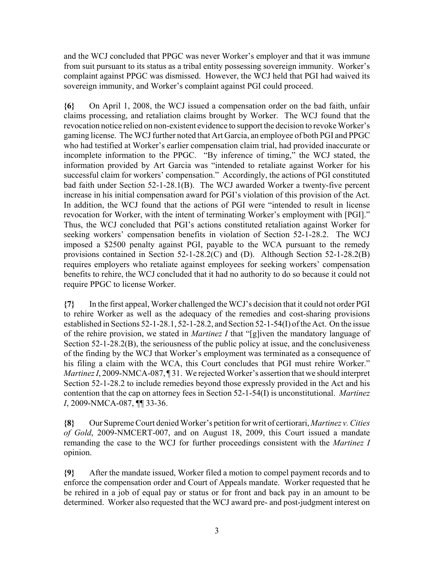and the WCJ concluded that PPGC was never Worker's employer and that it was immune from suit pursuant to its status as a tribal entity possessing sovereign immunity. Worker's complaint against PPGC was dismissed. However, the WCJ held that PGI had waived its sovereign immunity, and Worker's complaint against PGI could proceed.

**{6}** On April 1, 2008, the WCJ issued a compensation order on the bad faith, unfair claims processing, and retaliation claims brought by Worker. The WCJ found that the revocation notice relied on non-existent evidence to support the decision to revoke Worker's gaming license. The WCJ further noted that Art Garcia, an employee of both PGI and PPGC who had testified at Worker's earlier compensation claim trial, had provided inaccurate or incomplete information to the PPGC. "By inference of timing," the WCJ stated, the information provided by Art Garcia was "intended to retaliate against Worker for his successful claim for workers' compensation." Accordingly, the actions of PGI constituted bad faith under Section 52-1-28.1(B). The WCJ awarded Worker a twenty-five percent increase in his initial compensation award for PGI's violation of this provision of the Act. In addition, the WCJ found that the actions of PGI were "intended to result in license revocation for Worker, with the intent of terminating Worker's employment with [PGI]." Thus, the WCJ concluded that PGI's actions constituted retaliation against Worker for seeking workers' compensation benefits in violation of Section 52-1-28.2. The WCJ imposed a \$2500 penalty against PGI, payable to the WCA pursuant to the remedy provisions contained in Section 52-1-28.2(C) and (D). Although Section 52-1-28.2(B) requires employers who retaliate against employees for seeking workers' compensation benefits to rehire, the WCJ concluded that it had no authority to do so because it could not require PPGC to license Worker.

**{7}** In the first appeal, Worker challenged the WCJ's decision that it could not order PGI to rehire Worker as well as the adequacy of the remedies and cost-sharing provisions established in Sections 52-1-28.1, 52-1-28.2, and Section 52-1-54(I) of the Act. On the issue of the rehire provision, we stated in *Martinez I* that "[g]iven the mandatory language of Section 52-1-28.2(B), the seriousness of the public policy at issue, and the conclusiveness of the finding by the WCJ that Worker's employment was terminated as a consequence of his filing a claim with the WCA, this Court concludes that PGI must rehire Worker." *Martinez I*, 2009-NMCA-087, 131. We rejected Worker's assertion that we should interpret Section 52-1-28.2 to include remedies beyond those expressly provided in the Act and his contention that the cap on attorney fees in Section 52-1-54(I) is unconstitutional. *Martinez I*, 2009-NMCA-087, ¶¶ 33-36.

**{8}** Our Supreme Court denied Worker's petition for writ of certiorari, *Martinez v. Cities of Gold*, 2009-NMCERT-007, and on August 18, 2009, this Court issued a mandate remanding the case to the WCJ for further proceedings consistent with the *Martinez I* opinion.

**{9}** After the mandate issued, Worker filed a motion to compel payment records and to enforce the compensation order and Court of Appeals mandate. Worker requested that he be rehired in a job of equal pay or status or for front and back pay in an amount to be determined. Worker also requested that the WCJ award pre- and post-judgment interest on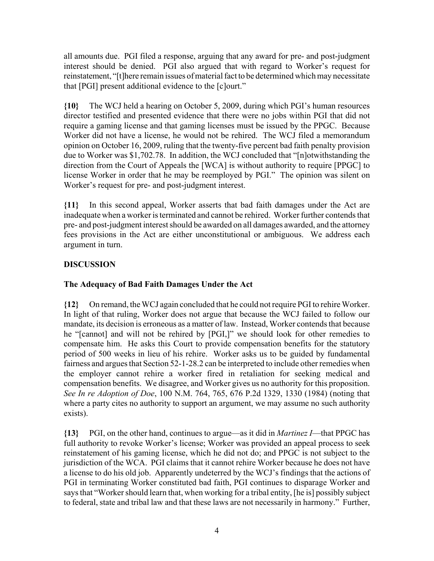all amounts due. PGI filed a response, arguing that any award for pre- and post-judgment interest should be denied. PGI also argued that with regard to Worker's request for reinstatement, "[t]here remain issues of material fact to be determined which may necessitate that [PGI] present additional evidence to the [c]ourt."

**{10}** The WCJ held a hearing on October 5, 2009, during which PGI's human resources director testified and presented evidence that there were no jobs within PGI that did not require a gaming license and that gaming licenses must be issued by the PPGC. Because Worker did not have a license, he would not be rehired. The WCJ filed a memorandum opinion on October 16, 2009, ruling that the twenty-five percent bad faith penalty provision due to Worker was \$1,702.78. In addition, the WCJ concluded that "[n]otwithstanding the direction from the Court of Appeals the [WCA] is without authority to require [PPGC] to license Worker in order that he may be reemployed by PGI." The opinion was silent on Worker's request for pre- and post-judgment interest.

**{11}** In this second appeal, Worker asserts that bad faith damages under the Act are inadequate when a worker is terminated and cannot be rehired. Worker further contends that pre- and post-judgment interest should be awarded on all damages awarded, and the attorney fees provisions in the Act are either unconstitutional or ambiguous. We address each argument in turn.

# **DISCUSSION**

## **The Adequacy of Bad Faith Damages Under the Act**

**{12}** On remand, the WCJ again concluded that he could not require PGI to rehire Worker. In light of that ruling, Worker does not argue that because the WCJ failed to follow our mandate, its decision is erroneous as a matter of law. Instead, Worker contends that because he "[cannot] and will not be rehired by [PGI,]" we should look for other remedies to compensate him. He asks this Court to provide compensation benefits for the statutory period of 500 weeks in lieu of his rehire. Worker asks us to be guided by fundamental fairness and argues that Section 52-1-28.2 can be interpreted to include other remedies when the employer cannot rehire a worker fired in retaliation for seeking medical and compensation benefits. We disagree, and Worker gives us no authority for this proposition. *See In re Adoption of Doe*, 100 N.M. 764, 765, 676 P.2d 1329, 1330 (1984) (noting that where a party cites no authority to support an argument, we may assume no such authority exists).

**{13}** PGI, on the other hand, continues to argue—as it did in *Martinez I*—that PPGC has full authority to revoke Worker's license; Worker was provided an appeal process to seek reinstatement of his gaming license, which he did not do; and PPGC is not subject to the jurisdiction of the WCA. PGI claims that it cannot rehire Worker because he does not have a license to do his old job. Apparently undeterred by the WCJ's findings that the actions of PGI in terminating Worker constituted bad faith, PGI continues to disparage Worker and says that "Worker should learn that, when working for a tribal entity, [he is] possibly subject to federal, state and tribal law and that these laws are not necessarily in harmony." Further,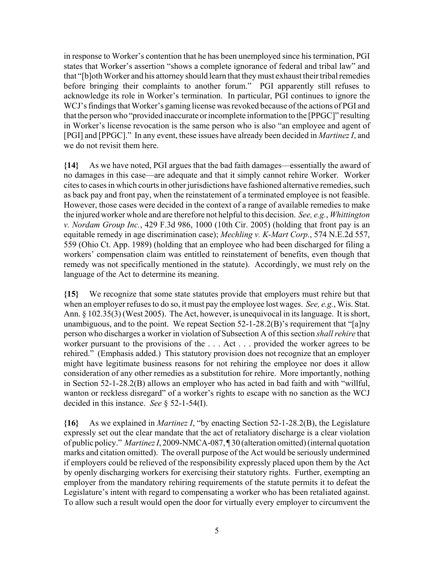in response to Worker's contention that he has been unemployed since his termination, PGI states that Worker's assertion "shows a complete ignorance of federal and tribal law" and that "[b]oth Worker and his attorney should learn that they must exhaust their tribal remedies before bringing their complaints to another forum." PGI apparently still refuses to acknowledge its role in Worker's termination. In particular, PGI continues to ignore the WCJ's findings that Worker's gaming license was revoked because of the actions of PGI and that the person who "provided inaccurate or incomplete information to the [PPGC]" resulting in Worker's license revocation is the same person who is also "an employee and agent of [PGI] and [PPGC]." In any event, these issues have already been decided in *Martinez I*, and we do not revisit them here.

**{14}** As we have noted, PGI argues that the bad faith damages—essentially the award of no damages in this case—are adequate and that it simply cannot rehire Worker. Worker cites to cases in which courts in other jurisdictions have fashioned alternative remedies, such as back pay and front pay, when the reinstatement of a terminated employee is not feasible. However, those cases were decided in the context of a range of available remedies to make the injured worker whole and are therefore not helpful to this decision. *See, e.g.*, *Whittington v. Nordam Group Inc.*, 429 F.3d 986, 1000 (10th Cir. 2005) (holding that front pay is an equitable remedy in age discrimination case); *Mechling v. K-Mart Corp.*, 574 N.E.2d 557, 559 (Ohio Ct. App. 1989) (holding that an employee who had been discharged for filing a workers' compensation claim was entitled to reinstatement of benefits, even though that remedy was not specifically mentioned in the statute). Accordingly, we must rely on the language of the Act to determine its meaning.

**{15}** We recognize that some state statutes provide that employers must rehire but that when an employer refuses to do so, it must pay the employee lost wages. *See, e.g.*, Wis. Stat. Ann. § 102.35(3) (West 2005). The Act, however, is unequivocal in its language. It is short, unambiguous, and to the point. We repeat Section  $52$ -1-28.2(B)'s requirement that "[a]ny person who discharges a worker in violation of Subsection A of this section *shall rehire* that worker pursuant to the provisions of the . . . Act . . . provided the worker agrees to be rehired." (Emphasis added.) This statutory provision does not recognize that an employer might have legitimate business reasons for not rehiring the employee nor does it allow consideration of any other remedies as a substitution for rehire. More importantly, nothing in Section 52-1-28.2(B) allows an employer who has acted in bad faith and with "willful, wanton or reckless disregard" of a worker's rights to escape with no sanction as the WCJ decided in this instance. *See* § 52-1-54(I).

**{16}** As we explained in *Martinez I*, "by enacting Section 52-1-28.2(B), the Legislature expressly set out the clear mandate that the act of retaliatory discharge is a clear violation of public policy." *Martinez I*, 2009-NMCA-087, ¶ 30 (alteration omitted) (internal quotation marks and citation omitted). The overall purpose of the Act would be seriously undermined if employers could be relieved of the responsibility expressly placed upon them by the Act by openly discharging workers for exercising their statutory rights. Further, exempting an employer from the mandatory rehiring requirements of the statute permits it to defeat the Legislature's intent with regard to compensating a worker who has been retaliated against. To allow such a result would open the door for virtually every employer to circumvent the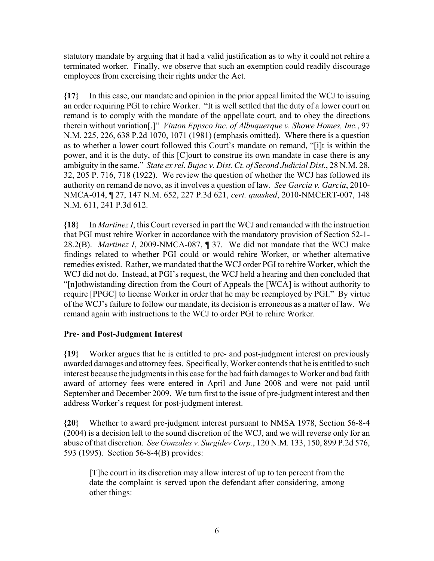statutory mandate by arguing that it had a valid justification as to why it could not rehire a terminated worker. Finally, we observe that such an exemption could readily discourage employees from exercising their rights under the Act.

**{17}** In this case, our mandate and opinion in the prior appeal limited the WCJ to issuing an order requiring PGI to rehire Worker. "It is well settled that the duty of a lower court on remand is to comply with the mandate of the appellate court, and to obey the directions therein without variation[.]" *Vinton Eppsco Inc. of Albuquerque v. Showe Homes, Inc.*, 97 N.M. 225, 226, 638 P.2d 1070, 1071 (1981) (emphasis omitted). Where there is a question as to whether a lower court followed this Court's mandate on remand, "[i]t is within the power, and it is the duty, of this [C]ourt to construe its own mandate in case there is any ambiguity in the same." *State ex rel. Bujac v. Dist. Ct. of Second Judicial Dist.*, 28 N.M. 28, 32, 205 P. 716, 718 (1922). We review the question of whether the WCJ has followed its authority on remand de novo, as it involves a question of law. *See Garcia v. Garcia*, 2010- NMCA-014, ¶ 27, 147 N.M. 652, 227 P.3d 621, *cert. quashed*, 2010-NMCERT-007, 148 N.M. 611, 241 P.3d 612.

**{18}** In *Martinez I*, this Court reversed in part the WCJ and remanded with the instruction that PGI must rehire Worker in accordance with the mandatory provision of Section 52-1- 28.2(B). *Martinez I*, 2009-NMCA-087, ¶ 37. We did not mandate that the WCJ make findings related to whether PGI could or would rehire Worker, or whether alternative remedies existed. Rather, we mandated that the WCJ order PGI to rehire Worker, which the WCJ did not do. Instead, at PGI's request, the WCJ held a hearing and then concluded that "[n]othwistanding direction from the Court of Appeals the [WCA] is without authority to require [PPGC] to license Worker in order that he may be reemployed by PGI." By virtue of the WCJ's failure to follow our mandate, its decision is erroneous as a matter of law. We remand again with instructions to the WCJ to order PGI to rehire Worker.

## **Pre- and Post-Judgment Interest**

**{19}** Worker argues that he is entitled to pre- and post-judgment interest on previously awarded damages and attorney fees. Specifically, Worker contends that he is entitled to such interest because the judgments in this case for the bad faith damages to Worker and bad faith award of attorney fees were entered in April and June 2008 and were not paid until September and December 2009. We turn first to the issue of pre-judgment interest and then address Worker's request for post-judgment interest.

**{20}** Whether to award pre-judgment interest pursuant to NMSA 1978, Section 56-8-4 (2004) is a decision left to the sound discretion of the WCJ, and we will reverse only for an abuse of that discretion. *See Gonzales v. Surgidev Corp.*, 120 N.M. 133, 150, 899 P.2d 576, 593 (1995). Section 56-8-4(B) provides:

[T]he court in its discretion may allow interest of up to ten percent from the date the complaint is served upon the defendant after considering, among other things: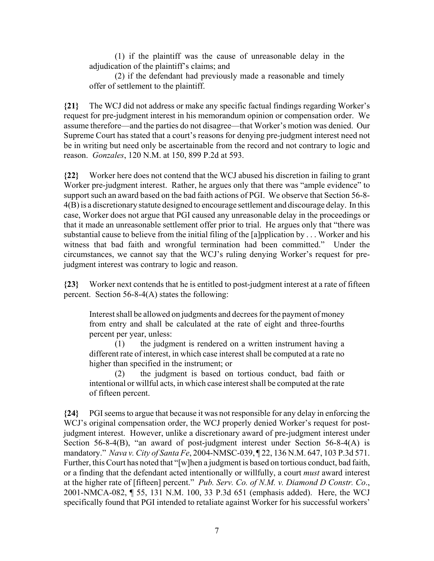(1) if the plaintiff was the cause of unreasonable delay in the adjudication of the plaintiff's claims; and

(2) if the defendant had previously made a reasonable and timely offer of settlement to the plaintiff.

**{21}** The WCJ did not address or make any specific factual findings regarding Worker's request for pre-judgment interest in his memorandum opinion or compensation order. We assume therefore—and the parties do not disagree—that Worker's motion was denied. Our Supreme Court has stated that a court's reasons for denying pre-judgment interest need not be in writing but need only be ascertainable from the record and not contrary to logic and reason. *Gonzales*, 120 N.M. at 150, 899 P.2d at 593.

**{22}** Worker here does not contend that the WCJ abused his discretion in failing to grant Worker pre-judgment interest. Rather, he argues only that there was "ample evidence" to support such an award based on the bad faith actions of PGI. We observe that Section 56-8- 4(B) is a discretionary statute designed to encourage settlement and discourage delay. In this case, Worker does not argue that PGI caused any unreasonable delay in the proceedings or that it made an unreasonable settlement offer prior to trial. He argues only that "there was substantial cause to believe from the initial filing of the [a]pplication by . . . Worker and his witness that bad faith and wrongful termination had been committed." Under the circumstances, we cannot say that the WCJ's ruling denying Worker's request for prejudgment interest was contrary to logic and reason.

**{23}** Worker next contends that he is entitled to post-judgment interest at a rate of fifteen percent. Section 56-8-4(A) states the following:

Interest shall be allowed on judgments and decrees for the payment of money from entry and shall be calculated at the rate of eight and three-fourths percent per year, unless:

(1) the judgment is rendered on a written instrument having a different rate of interest, in which case interest shall be computed at a rate no higher than specified in the instrument; or

(2) the judgment is based on tortious conduct, bad faith or intentional or willful acts, in which case interest shall be computed at the rate of fifteen percent.

**{24}** PGI seems to argue that because it was not responsible for any delay in enforcing the WCJ's original compensation order, the WCJ properly denied Worker's request for postjudgment interest. However, unlike a discretionary award of pre-judgment interest under Section 56-8-4(B), "an award of post-judgment interest under Section 56-8-4(A) is mandatory." *Nava v. City of Santa Fe*, 2004-NMSC-039, ¶ 22, 136 N.M. 647, 103 P.3d 571. Further, this Court has noted that "[w]hen a judgment is based on tortious conduct, bad faith, or a finding that the defendant acted intentionally or willfully, a court *must* award interest at the higher rate of [fifteen] percent." *Pub. Serv. Co. of N.M. v. Diamond D Constr. Co*., 2001-NMCA-082, ¶ 55, 131 N.M. 100, 33 P.3d 651 (emphasis added). Here, the WCJ specifically found that PGI intended to retaliate against Worker for his successful workers'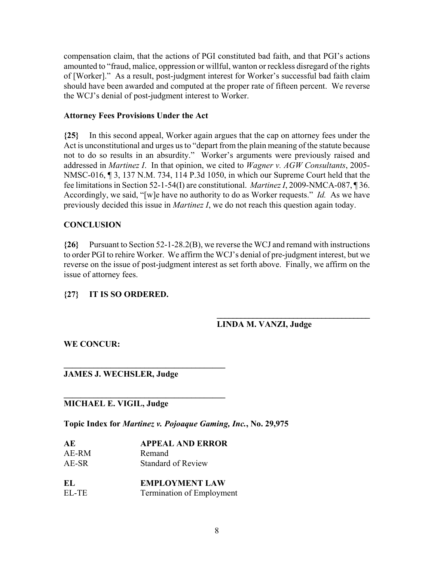compensation claim, that the actions of PGI constituted bad faith, and that PGI's actions amounted to "fraud, malice, oppression or willful, wanton or reckless disregard of the rights of [Worker]." As a result, post-judgment interest for Worker's successful bad faith claim should have been awarded and computed at the proper rate of fifteen percent. We reverse the WCJ's denial of post-judgment interest to Worker.

### **Attorney Fees Provisions Under the Act**

**{25}** In this second appeal, Worker again argues that the cap on attorney fees under the Act is unconstitutional and urges us to "depart from the plain meaning of the statute because not to do so results in an absurdity." Worker's arguments were previously raised and addressed in *Martinez I*. In that opinion, we cited to *Wagner v. AGW Consultants*, 2005- NMSC-016, ¶ 3, 137 N.M. 734, 114 P.3d 1050, in which our Supreme Court held that the fee limitations in Section 52-1-54(I) are constitutional. *Martinez I*, 2009-NMCA-087, ¶ 36. Accordingly, we said, "[w]e have no authority to do as Worker requests." *Id.* As we have previously decided this issue in *Martinez I*, we do not reach this question again today.

## **CONCLUSION**

**{26}** Pursuant to Section 52-1-28.2(B), we reverse the WCJ and remand with instructions to order PGI to rehire Worker. We affirm the WCJ's denial of pre-judgment interest, but we reverse on the issue of post-judgment interest as set forth above. Finally, we affirm on the issue of attorney fees.

## **{27} IT IS SO ORDERED.**

## **LINDA M. VANZI, Judge**

**\_\_\_\_\_\_\_\_\_\_\_\_\_\_\_\_\_\_\_\_\_\_\_\_\_\_\_\_\_\_\_\_\_\_\_\_\_\_**

**WE CONCUR:**

## **JAMES J. WECHSLER, Judge**

## **MICHAEL E. VIGIL, Judge**

**Topic Index for** *Martinez v. Pojoaque Gaming, Inc.***, No. 29,975**

| AЕ    | <b>APPEAL AND ERROR</b>   |
|-------|---------------------------|
| AE-RM | Remand                    |
| AE-SR | <b>Standard of Review</b> |

 $\mathcal{L}=\{1,2,3,4,5\}$ 

**\_\_\_\_\_\_\_\_\_\_\_\_\_\_\_\_\_\_\_\_\_\_\_\_\_\_\_\_\_\_\_\_\_\_\_\_\_\_**

| EL    | <b>EMPLOYMENT LAW</b>            |
|-------|----------------------------------|
| EL-TE | <b>Termination of Employment</b> |